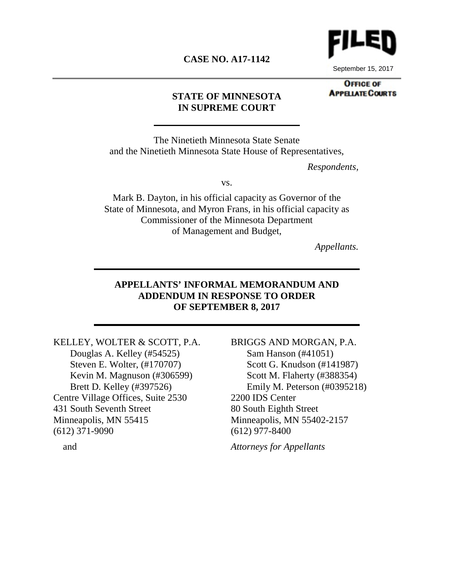# **CASE NO. A17-1142**



September 15, 2017

#### **OFFICE OF APPELATE COURTS**

### **STATE OF MINNESOTA IN SUPREME COURT**

The Ninetieth Minnesota State Senate and the Ninetieth Minnesota State House of Representatives,

*Respondents,*

vs.

Mark B. Dayton, in his official capacity as Governor of the State of Minnesota, and Myron Frans, in his official capacity as Commissioner of the Minnesota Department of Management and Budget,

*Appellants.*

### **APPELLANTS' INFORMAL MEMORANDUM AND ADDENDUM IN RESPONSE TO ORDER OF SEPTEMBER 8, 2017**

KELLEY, WOLTER & SCOTT, P.A. Douglas A. Kelley (#54525) Steven E. Wolter, (#170707) Kevin M. Magnuson (#306599) Brett D. Kelley (#397526) Centre Village Offices, Suite 2530 431 South Seventh Street Minneapolis, MN 55415 (612) 371-9090

BRIGGS AND MORGAN, P.A. Sam Hanson (#41051) Scott G. Knudson (#141987) Scott M. Flaherty (#388354) Emily M. Peterson (#0395218) 2200 IDS Center 80 South Eighth Street Minneapolis, MN 55402-2157 (612) 977-8400

*Attorneys for Appellants* 

and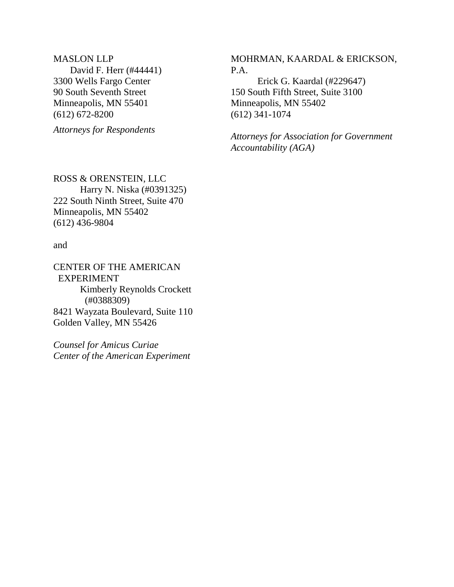MASLON LLP David F. Herr (#44441) 3300 Wells Fargo Center 90 South Seventh Street Minneapolis, MN 55401 (612) 672-8200

*Attorneys for Respondents* 

MOHRMAN, KAARDAL & ERICKSON, P.A.

Erick G. Kaardal (#229647) 150 South Fifth Street, Suite 3100 Minneapolis, MN 55402 (612) 341-1074

*Attorneys for Association for Government Accountability (AGA)* 

ROSS & ORENSTEIN, LLC Harry N. Niska (#0391325) 222 South Ninth Street, Suite 470 Minneapolis, MN 55402 (612) 436-9804

and

CENTER OF THE AMERICAN EXPERIMENT Kimberly Reynolds Crockett (#0388309) 8421 Wayzata Boulevard, Suite 110 Golden Valley, MN 55426

*Counsel for Amicus Curiae Center of the American Experiment*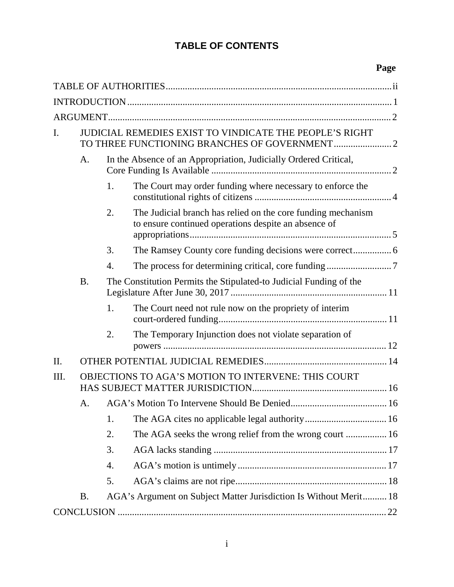# **TABLE OF CONTENTS**

| $\mathbf{I}$ . | JUDICIAL REMEDIES EXIST TO VINDICATE THE PEOPLE'S RIGHT |                  |                                                                                                                      |  |  |  |
|----------------|---------------------------------------------------------|------------------|----------------------------------------------------------------------------------------------------------------------|--|--|--|
|                | A.                                                      |                  | In the Absence of an Appropriation, Judicially Ordered Critical,                                                     |  |  |  |
|                |                                                         | 1.               | The Court may order funding where necessary to enforce the                                                           |  |  |  |
|                |                                                         | 2.               | The Judicial branch has relied on the core funding mechanism<br>to ensure continued operations despite an absence of |  |  |  |
|                |                                                         | 3.               |                                                                                                                      |  |  |  |
|                |                                                         | $\overline{4}$ . |                                                                                                                      |  |  |  |
|                | <b>B.</b>                                               |                  | The Constitution Permits the Stipulated-to Judicial Funding of the                                                   |  |  |  |
|                |                                                         | 1.               | The Court need not rule now on the propriety of interim                                                              |  |  |  |
|                |                                                         | 2.               | The Temporary Injunction does not violate separation of                                                              |  |  |  |
| II.            |                                                         |                  |                                                                                                                      |  |  |  |
| Ш.             | OBJECTIONS TO AGA'S MOTION TO INTERVENE: THIS COURT     |                  |                                                                                                                      |  |  |  |
|                | A.                                                      |                  |                                                                                                                      |  |  |  |
|                |                                                         | 1.               |                                                                                                                      |  |  |  |
|                |                                                         | 2.               | The AGA seeks the wrong relief from the wrong court  16                                                              |  |  |  |
|                |                                                         | 3.               |                                                                                                                      |  |  |  |
|                |                                                         | 4.               |                                                                                                                      |  |  |  |
|                |                                                         | 5.               |                                                                                                                      |  |  |  |
|                | <b>B.</b>                                               |                  | AGA's Argument on Subject Matter Jurisdiction Is Without Merit 18                                                    |  |  |  |
|                |                                                         |                  |                                                                                                                      |  |  |  |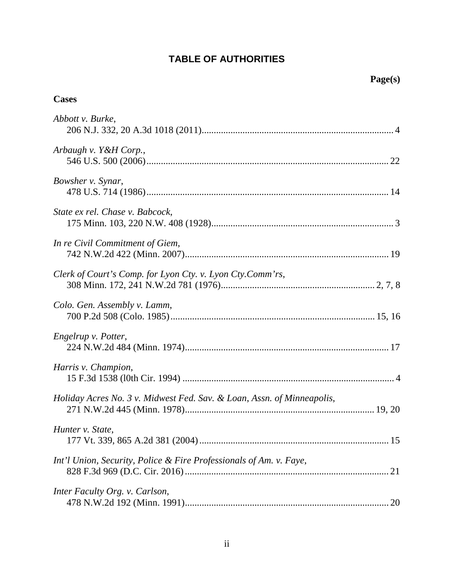# **TABLE OF AUTHORITIES**

# **Cases**

| Abbott v. Burke,                                                       |
|------------------------------------------------------------------------|
| Arbaugh v. Y&H Corp.,                                                  |
| Bowsher v. Synar,                                                      |
| State ex rel. Chase v. Babcock,                                        |
| In re Civil Commitment of Giem,                                        |
| Clerk of Court's Comp. for Lyon Cty. v. Lyon Cty. Comm'rs,             |
| Colo. Gen. Assembly v. Lamm,                                           |
| Engelrup v. Potter,                                                    |
| Harris v. Champion,                                                    |
| Holiday Acres No. 3 v. Midwest Fed. Sav. & Loan, Assn. of Minneapolis, |
| Hunter v. State,                                                       |
| Int'l Union, Security, Police & Fire Professionals of Am. v. Faye,     |
| Inter Faculty Org. v. Carlson,                                         |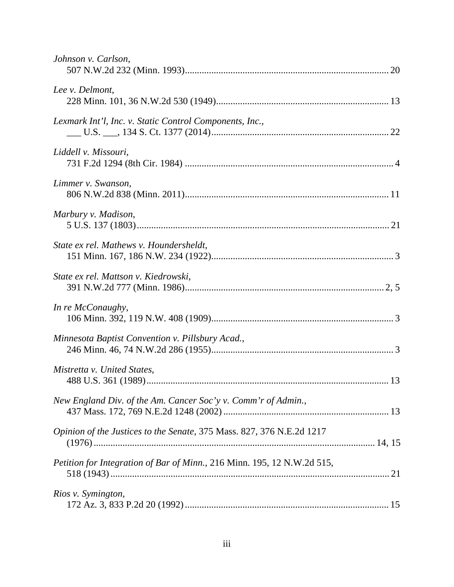| Johnson v. Carlson,                                                     |
|-------------------------------------------------------------------------|
| Lee v. Delmont,                                                         |
| Lexmark Int'l, Inc. v. Static Control Components, Inc.,                 |
| Liddell v. Missouri,                                                    |
| Limmer v. Swanson,                                                      |
| Marbury v. Madison,                                                     |
| State ex rel. Mathews v. Houndersheldt,                                 |
| State ex rel. Mattson v. Kiedrowski,                                    |
| In re McConaughy,                                                       |
| Minnesota Baptist Convention v. Pillsbury Acad.,                        |
| Mistretta v. United States,                                             |
| New England Div. of the Am. Cancer Soc'y v. Comm'r of Admin.,           |
| Opinion of the Justices to the Senate, 375 Mass. 827, 376 N.E.2d 1217   |
| Petition for Integration of Bar of Minn., 216 Minn. 195, 12 N.W.2d 515, |
| Rios v. Symington,                                                      |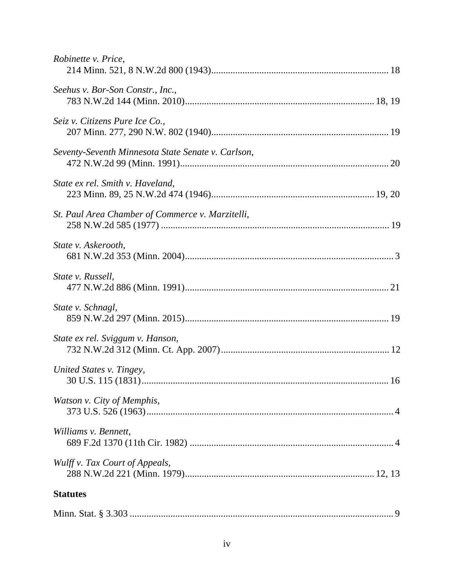| Robinette v. Price,                                |
|----------------------------------------------------|
| Seehus v. Bor-Son Constr., Inc.,                   |
| Seiz v. Citizens Pure Ice Co.,                     |
| Seventy-Seventh Minnesota State Senate v. Carlson, |
| State ex rel. Smith v. Haveland,                   |
| St. Paul Area Chamber of Commerce v. Marzitelli,   |
| State v. Askerooth,                                |
| State v. Russell,                                  |
| State v. Schnagl,                                  |
| State ex rel. Sviggum v. Hanson,                   |
| United States v. Tingey,                           |
| Watson v. City of Memphis,                         |
| Williams v. Bennett,                               |
| Wulff v. Tax Court of Appeals,                     |
| <b>Statutes</b>                                    |
|                                                    |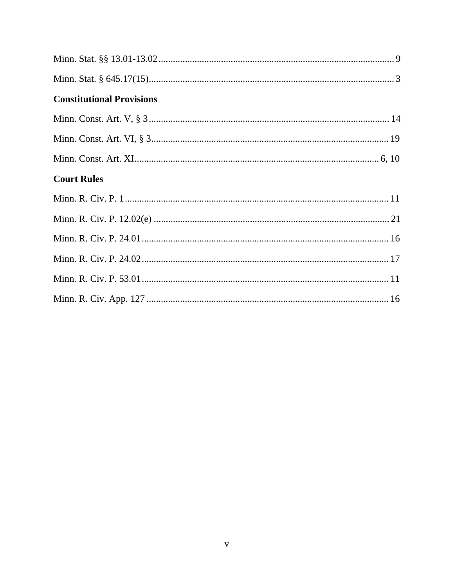| <b>Constitutional Provisions</b> |  |
|----------------------------------|--|
|                                  |  |
|                                  |  |
|                                  |  |
| <b>Court Rules</b>               |  |
|                                  |  |
|                                  |  |
|                                  |  |
|                                  |  |
|                                  |  |
|                                  |  |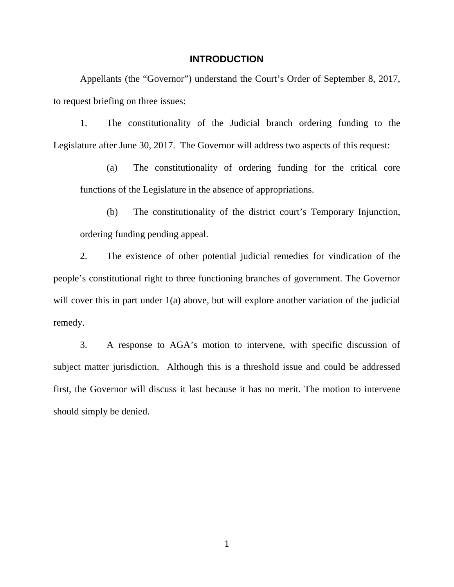### **INTRODUCTION**

Appellants (the "Governor") understand the Court's Order of September 8, 2017, to request briefing on three issues:

1. The constitutionality of the Judicial branch ordering funding to the Legislature after June 30, 2017. The Governor will address two aspects of this request:

(a) The constitutionality of ordering funding for the critical core functions of the Legislature in the absence of appropriations.

(b) The constitutionality of the district court's Temporary Injunction, ordering funding pending appeal.

2. The existence of other potential judicial remedies for vindication of the people's constitutional right to three functioning branches of government. The Governor will cover this in part under 1(a) above, but will explore another variation of the judicial remedy.

3. A response to AGA's motion to intervene, with specific discussion of subject matter jurisdiction. Although this is a threshold issue and could be addressed first, the Governor will discuss it last because it has no merit. The motion to intervene should simply be denied.

1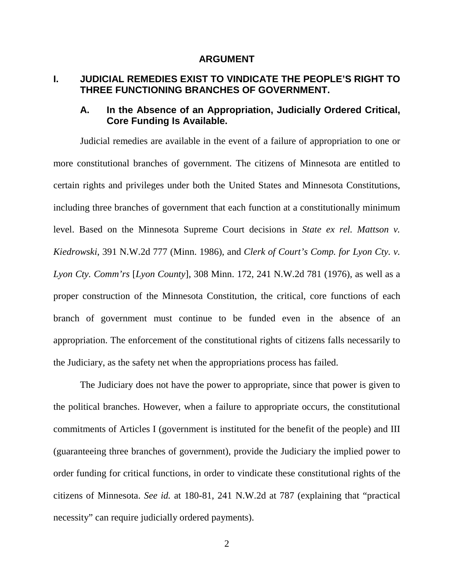#### <span id="page-8-1"></span><span id="page-8-0"></span>**ARGUMENT**

# **I. JUDICIAL REMEDIES EXIST TO VINDICATE THE PEOPLE'S RIGHT TO THREE FUNCTIONING BRANCHES OF GOVERNMENT.**

# **A. In the Absence of an Appropriation, Judicially Ordered Critical, Core Funding Is Available.**

Judicial remedies are available in the event of a failure of appropriation to one or more constitutional branches of government. The citizens of Minnesota are entitled to certain rights and privileges under both the United States and Minnesota Constitutions, including three branches of government that each function at a constitutionally minimum level. Based on the Minnesota Supreme Court decisions in *State ex rel. Mattson v. Kiedrowski*, 391 N.W.2d 777 (Minn. 1986), and *Clerk of Court's Comp. for Lyon Cty. v. Lyon Cty. Comm'rs* [*Lyon County*], 308 Minn. 172, 241 N.W.2d 781 (1976), as well as a proper construction of the Minnesota Constitution, the critical, core functions of each branch of government must continue to be funded even in the absence of an appropriation. The enforcement of the constitutional rights of citizens falls necessarily to the Judiciary, as the safety net when the appropriations process has failed.

The Judiciary does not have the power to appropriate, since that power is given to the political branches. However, when a failure to appropriate occurs, the constitutional commitments of Articles I (government is instituted for the benefit of the people) and III (guaranteeing three branches of government), provide the Judiciary the implied power to order funding for critical functions, in order to vindicate these constitutional rights of the citizens of Minnesota. *See id.* at 180-81, 241 N.W.2d at 787 (explaining that "practical necessity" can require judicially ordered payments).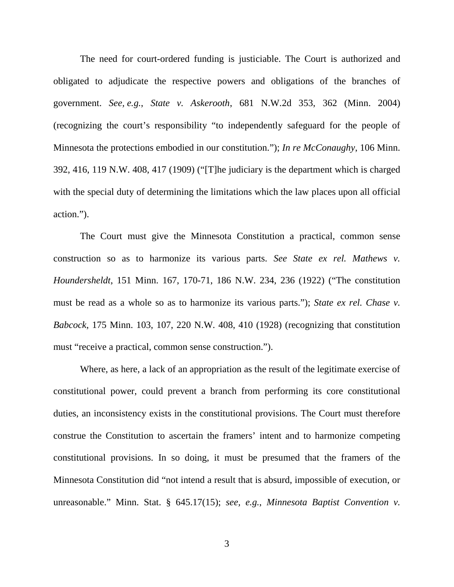<span id="page-9-4"></span><span id="page-9-2"></span>The need for court-ordered funding is justiciable. The Court is authorized and obligated to adjudicate the respective powers and obligations of the branches of government. *See, e.g.*, *State v. Askerooth*, 681 N.W.2d 353, 362 (Minn. 2004) (recognizing the court's responsibility "to independently safeguard for the people of Minnesota the protections embodied in our constitution."); *In re McConaughy*, 106 Minn. 392, 416, 119 N.W. 408, 417 (1909) ("[T]he judiciary is the department which is charged with the special duty of determining the limitations which the law places upon all official action.").

<span id="page-9-1"></span><span id="page-9-0"></span>The Court must give the Minnesota Constitution a practical, common sense construction so as to harmonize its various parts. *See State ex rel. Mathews v. Houndersheldt*, 151 Minn. 167, 170-71, 186 N.W. 234, 236 (1922) ("The constitution must be read as a whole so as to harmonize its various parts."); *State ex rel. Chase v. Babcock*, 175 Minn. 103, 107, 220 N.W. 408, 410 (1928) (recognizing that constitution must "receive a practical, common sense construction.").

<span id="page-9-5"></span><span id="page-9-3"></span>Where, as here, a lack of an appropriation as the result of the legitimate exercise of constitutional power, could prevent a branch from performing its core constitutional duties, an inconsistency exists in the constitutional provisions. The Court must therefore construe the Constitution to ascertain the framers' intent and to harmonize competing constitutional provisions. In so doing, it must be presumed that the framers of the Minnesota Constitution did "not intend a result that is absurd, impossible of execution, or unreasonable." Minn. Stat. § 645.17(15); *see, e.g.*, *Minnesota Baptist Convention v.*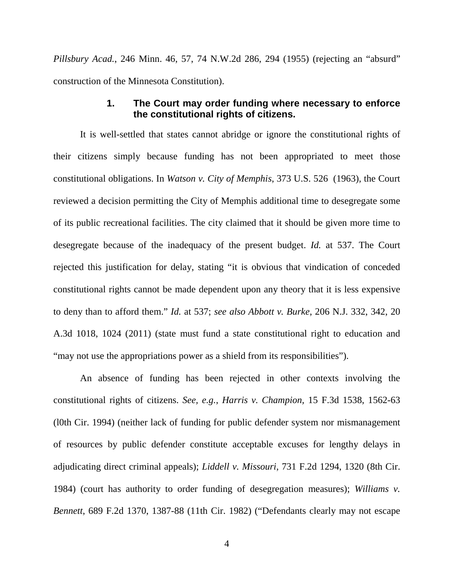*Pillsbury Acad.*, 246 Minn. 46, 57, 74 N.W.2d 286, 294 (1955) (rejecting an "absurd" construction of the Minnesota Constitution).

### <span id="page-10-3"></span>**1. The Court may order funding where necessary to enforce the constitutional rights of citizens.**

It is well-settled that states cannot abridge or ignore the constitutional rights of their citizens simply because funding has not been appropriated to meet those constitutional obligations. In *Watson v. City of Memphis*, 373 U.S. 526 (1963), the Court reviewed a decision permitting the City of Memphis additional time to desegregate some of its public recreational facilities. The city claimed that it should be given more time to desegregate because of the inadequacy of the present budget. *Id.* at 537. The Court rejected this justification for delay, stating "it is obvious that vindication of conceded constitutional rights cannot be made dependent upon any theory that it is less expensive to deny than to afford them." *Id.* at 537; *see also Abbott v. Burke*, 206 N.J. 332, 342, 20 A.3d 1018, 1024 (2011) (state must fund a state constitutional right to education and "may not use the appropriations power as a shield from its responsibilities").

<span id="page-10-4"></span><span id="page-10-2"></span><span id="page-10-1"></span><span id="page-10-0"></span>An absence of funding has been rejected in other contexts involving the constitutional rights of citizens. *See, e.g.*, *Harris v. Champion,* 15 F.3d 1538, 1562-63 (l0th Cir. 1994) (neither lack of funding for public defender system nor mismanagement of resources by public defender constitute acceptable excuses for lengthy delays in adjudicating direct criminal appeals); *Liddell v. Missouri*, 731 F.2d 1294, 1320 (8th Cir. 1984) (court has authority to order funding of desegregation measures); *Williams v. Bennett*, 689 F.2d 1370, 1387-88 (11th Cir. 1982) ("Defendants clearly may not escape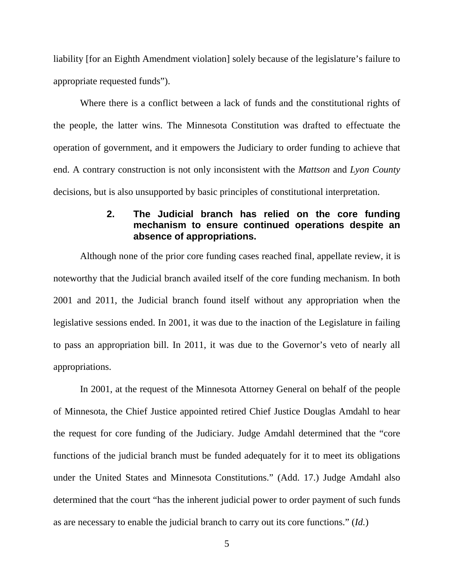liability [for an Eighth Amendment violation] solely because of the legislature's failure to appropriate requested funds").

Where there is a conflict between a lack of funds and the constitutional rights of the people, the latter wins. The Minnesota Constitution was drafted to effectuate the operation of government, and it empowers the Judiciary to order funding to achieve that end. A contrary construction is not only inconsistent with the *Mattson* and *Lyon County* decisions, but is also unsupported by basic principles of constitutional interpretation.

# <span id="page-11-0"></span>**2. The Judicial branch has relied on the core funding mechanism to ensure continued operations despite an absence of appropriations.**

Although none of the prior core funding cases reached final, appellate review, it is noteworthy that the Judicial branch availed itself of the core funding mechanism. In both 2001 and 2011, the Judicial branch found itself without any appropriation when the legislative sessions ended. In 2001, it was due to the inaction of the Legislature in failing to pass an appropriation bill. In 2011, it was due to the Governor's veto of nearly all appropriations.

In 2001, at the request of the Minnesota Attorney General on behalf of the people of Minnesota, the Chief Justice appointed retired Chief Justice Douglas Amdahl to hear the request for core funding of the Judiciary. Judge Amdahl determined that the "core functions of the judicial branch must be funded adequately for it to meet its obligations under the United States and Minnesota Constitutions." (Add. 17.) Judge Amdahl also determined that the court "has the inherent judicial power to order payment of such funds as are necessary to enable the judicial branch to carry out its core functions." (*Id.*)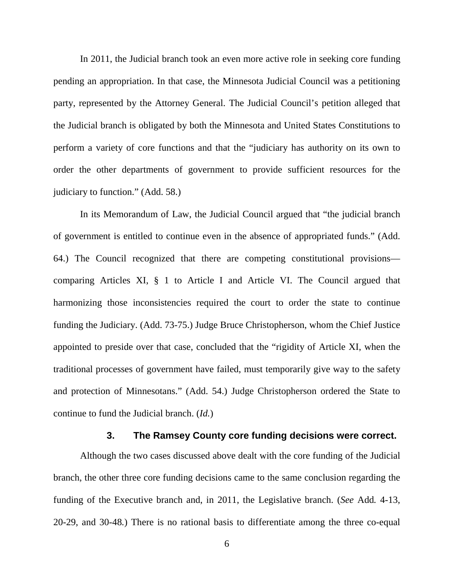In 2011, the Judicial branch took an even more active role in seeking core funding pending an appropriation. In that case, the Minnesota Judicial Council was a petitioning party, represented by the Attorney General. The Judicial Council's petition alleged that the Judicial branch is obligated by both the Minnesota and United States Constitutions to perform a variety of core functions and that the "judiciary has authority on its own to order the other departments of government to provide sufficient resources for the judiciary to function." (Add. 58.)

In its Memorandum of Law, the Judicial Council argued that "the judicial branch of government is entitled to continue even in the absence of appropriated funds." (Add. 64.) The Council recognized that there are competing constitutional provisions comparing Articles XI, § 1 to Article I and Article VI. The Council argued that harmonizing those inconsistencies required the court to order the state to continue funding the Judiciary. (Add. 73-75.) Judge Bruce Christopherson, whom the Chief Justice appointed to preside over that case, concluded that the "rigidity of Article XI, when the traditional processes of government have failed, must temporarily give way to the safety and protection of Minnesotans." (Add. 54.) Judge Christopherson ordered the State to continue to fund the Judicial branch. (*Id.*)

#### <span id="page-12-0"></span>**3. The Ramsey County core funding decisions were correct.**

Although the two cases discussed above dealt with the core funding of the Judicial branch, the other three core funding decisions came to the same conclusion regarding the funding of the Executive branch and, in 2011, the Legislative branch. (*See* Add*.* 4-13, 20-29, and 30-48*.*) There is no rational basis to differentiate among the three co-equal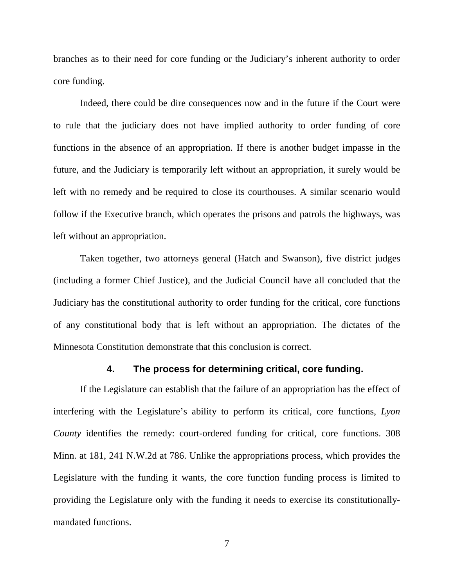branches as to their need for core funding or the Judiciary's inherent authority to order core funding.

Indeed, there could be dire consequences now and in the future if the Court were to rule that the judiciary does not have implied authority to order funding of core functions in the absence of an appropriation. If there is another budget impasse in the future, and the Judiciary is temporarily left without an appropriation, it surely would be left with no remedy and be required to close its courthouses. A similar scenario would follow if the Executive branch, which operates the prisons and patrols the highways, was left without an appropriation.

Taken together, two attorneys general (Hatch and Swanson), five district judges (including a former Chief Justice), and the Judicial Council have all concluded that the Judiciary has the constitutional authority to order funding for the critical, core functions of any constitutional body that is left without an appropriation. The dictates of the Minnesota Constitution demonstrate that this conclusion is correct.

#### <span id="page-13-0"></span>**4. The process for determining critical, core funding.**

If the Legislature can establish that the failure of an appropriation has the effect of interfering with the Legislature's ability to perform its critical, core functions, *Lyon County* identifies the remedy: court-ordered funding for critical, core functions. 308 Minn. at 181, 241 N.W.2d at 786. Unlike the appropriations process, which provides the Legislature with the funding it wants, the core function funding process is limited to providing the Legislature only with the funding it needs to exercise its constitutionallymandated functions.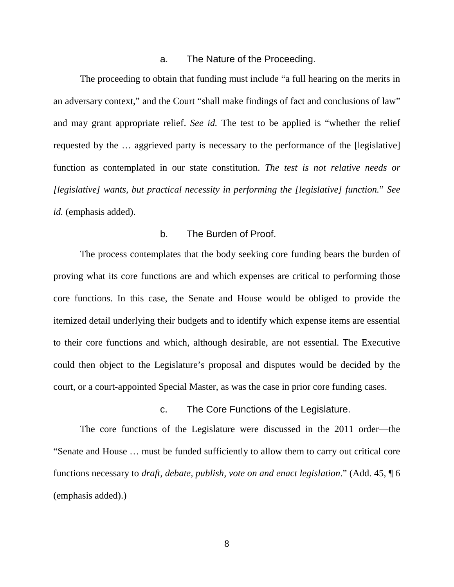#### <span id="page-14-0"></span>a. The Nature of the Proceeding.

The proceeding to obtain that funding must include "a full hearing on the merits in an adversary context," and the Court "shall make findings of fact and conclusions of law" and may grant appropriate relief. *See id.* The test to be applied is "whether the relief requested by the … aggrieved party is necessary to the performance of the [legislative] function as contemplated in our state constitution. *The test is not relative needs or [legislative] wants, but practical necessity in performing the [legislative] function.*" *See id.* (emphasis added).

### b. The Burden of Proof.

The process contemplates that the body seeking core funding bears the burden of proving what its core functions are and which expenses are critical to performing those core functions. In this case, the Senate and House would be obliged to provide the itemized detail underlying their budgets and to identify which expense items are essential to their core functions and which, although desirable, are not essential. The Executive could then object to the Legislature's proposal and disputes would be decided by the court, or a court-appointed Special Master, as was the case in prior core funding cases.

#### c. The Core Functions of the Legislature.

The core functions of the Legislature were discussed in the 2011 order—the "Senate and House … must be funded sufficiently to allow them to carry out critical core functions necessary to *draft, debate, publish, vote on and enact legislation*." (Add. 45, ¶ 6 (emphasis added).)

8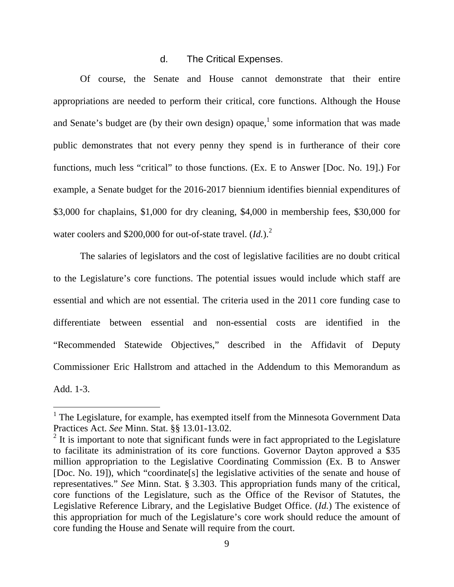#### d. The Critical Expenses.

Of course, the Senate and House cannot demonstrate that their entire appropriations are needed to perform their critical, core functions. Although the House andSenate's budget are (by their own design) opaque,<sup>1</sup> some information that was made public demonstrates that not every penny they spend is in furtherance of their core functions, much less "critical" to those functions. (Ex. E to Answer [Doc. No. 19].) For example, a Senate budget for the 2016-2017 biennium identifies biennial expenditures of \$3,000 for chaplains, \$1,000 for dry cleaning, \$4,000 in membership fees, \$30,000 for water coolers and \$200,000 for out-of-state travel. (*Id.*).<sup>2</sup>

The salaries of legislators and the cost of legislative facilities are no doubt critical to the Legislature's core functions. The potential issues would include which staff are essential and which are not essential. The criteria used in the 2011 core funding case to differentiate between essential and non-essential costs are identified in the "Recommended Statewide Objectives," described in the Affidavit of Deputy Commissioner Eric Hallstrom and attached in the Addendum to this Memorandum as Add. 1-3.

<span id="page-15-2"></span><span id="page-15-1"></span> $<sup>1</sup>$  The Legislature, for example, has exempted itself from the Minnesota Government Data</sup> Practices Act. *See* Minn. Stat. §§ 13.01-13.02.

<span id="page-15-0"></span> $2$  It is important to note that significant funds were in fact appropriated to the Legislature to facilitate its administration of its core functions. Governor Dayton approved a \$35 million appropriation to the Legislative Coordinating Commission (Ex. B to Answer [Doc. No. 19]), which "coordinate[s] the legislative activities of the senate and house of representatives." *See* Minn. Stat. § 3.303. This appropriation funds many of the critical, core functions of the Legislature, such as the Office of the Revisor of Statutes, the Legislative Reference Library, and the Legislative Budget Office. (*Id.*) The existence of this appropriation for much of the Legislature's core work should reduce the amount of core funding the House and Senate will require from the court.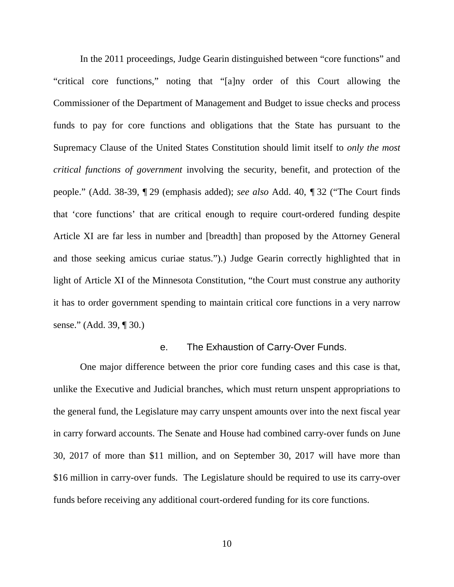In the 2011 proceedings, Judge Gearin distinguished between "core functions" and "critical core functions," noting that "[a]ny order of this Court allowing the Commissioner of the Department of Management and Budget to issue checks and process funds to pay for core functions and obligations that the State has pursuant to the Supremacy Clause of the United States Constitution should limit itself to *only the most critical functions of government* involving the security, benefit, and protection of the people." (Add. 38-39, ¶ 29 (emphasis added); *see also* Add. 40, *¶* 32 ("The Court finds that 'core functions' that are critical enough to require court-ordered funding despite Article XI are far less in number and [breadth] than proposed by the Attorney General and those seeking amicus curiae status.").) Judge Gearin correctly highlighted that in light of Article XI of the Minnesota Constitution, "the Court must construe any authority it has to order government spending to maintain critical core functions in a very narrow sense." (Add. 39, ¶ 30.)

### e. The Exhaustion of Carry-Over Funds.

<span id="page-16-0"></span>One major difference between the prior core funding cases and this case is that, unlike the Executive and Judicial branches, which must return unspent appropriations to the general fund, the Legislature may carry unspent amounts over into the next fiscal year in carry forward accounts. The Senate and House had combined carry-over funds on June 30, 2017 of more than \$11 million, and on September 30, 2017 will have more than \$16 million in carry-over funds. The Legislature should be required to use its carry-over funds before receiving any additional court-ordered funding for its core functions.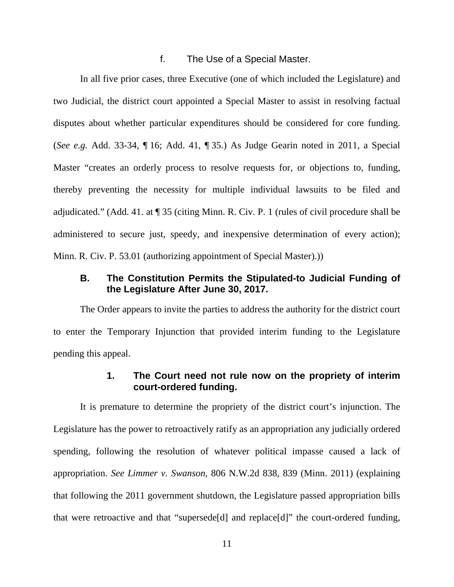#### <span id="page-17-1"></span>f. The Use of a Special Master.

In all five prior cases, three Executive (one of which included the Legislature) and two Judicial, the district court appointed a Special Master to assist in resolving factual disputes about whether particular expenditures should be considered for core funding. (*See e.g.* Add. 33-34, ¶ 16; Add. 41, ¶ 35.) As Judge Gearin noted in 2011, a Special Master "creates an orderly process to resolve requests for, or objections to, funding, thereby preventing the necessity for multiple individual lawsuits to be filed and adjudicated." (Add. 41. at ¶ 35 (citing Minn. R. Civ. P. 1 (rules of civil procedure shall be administered to secure just, speedy, and inexpensive determination of every action); Minn. R. Civ. P. 53.01 (authorizing appointment of Special Master).))

# <span id="page-17-2"></span>**B. The Constitution Permits the Stipulated-to Judicial Funding of the Legislature After June 30, 2017.**

The Order appears to invite the parties to address the authority for the district court to enter the Temporary Injunction that provided interim funding to the Legislature pending this appeal.

# <span id="page-17-0"></span>**1. The Court need not rule now on the propriety of interim court-ordered funding.**

It is premature to determine the propriety of the district court's injunction. The Legislature has the power to retroactively ratify as an appropriation any judicially ordered spending, following the resolution of whatever political impasse caused a lack of appropriation. *See Limmer v. Swanson*, 806 N.W.2d 838, 839 (Minn. 2011) (explaining that following the 2011 government shutdown, the Legislature passed appropriation bills that were retroactive and that "supersede[d] and replace[d]" the court-ordered funding,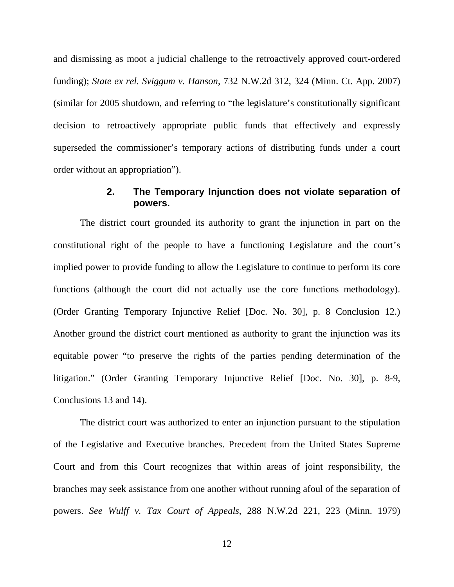<span id="page-18-0"></span>and dismissing as moot a judicial challenge to the retroactively approved court-ordered funding); *State ex rel. Sviggum v. Hanson*, 732 N.W.2d 312, 324 (Minn. Ct. App. 2007) (similar for 2005 shutdown, and referring to "the legislature's constitutionally significant decision to retroactively appropriate public funds that effectively and expressly superseded the commissioner's temporary actions of distributing funds under a court order without an appropriation").

# **2. The Temporary Injunction does not violate separation of powers.**

The district court grounded its authority to grant the injunction in part on the constitutional right of the people to have a functioning Legislature and the court's implied power to provide funding to allow the Legislature to continue to perform its core functions (although the court did not actually use the core functions methodology). (Order Granting Temporary Injunctive Relief [Doc. No. 30], p. 8 Conclusion 12.) Another ground the district court mentioned as authority to grant the injunction was its equitable power "to preserve the rights of the parties pending determination of the litigation." (Order Granting Temporary Injunctive Relief [Doc. No. 30], p. 8-9, Conclusions 13 and 14).

<span id="page-18-1"></span>The district court was authorized to enter an injunction pursuant to the stipulation of the Legislative and Executive branches. Precedent from the United States Supreme Court and from this Court recognizes that within areas of joint responsibility, the branches may seek assistance from one another without running afoul of the separation of powers. *See Wulff v. Tax Court of Appeals*, 288 N.W.2d 221, 223 (Minn. 1979)

12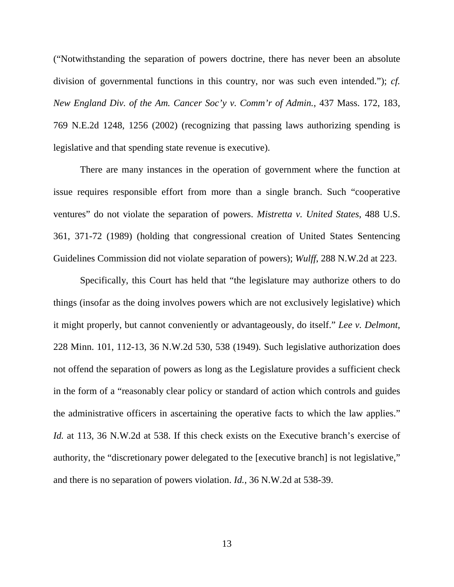<span id="page-19-2"></span>("Notwithstanding the separation of powers doctrine, there has never been an absolute division of governmental functions in this country, nor was such even intended."); *cf. New England Div. of the Am. Cancer Soc'y v. Comm'r of Admin.*, 437 Mass. 172, 183, 769 N.E.2d 1248, 1256 (2002) (recognizing that passing laws authorizing spending is legislative and that spending state revenue is executive).

<span id="page-19-1"></span>There are many instances in the operation of government where the function at issue requires responsible effort from more than a single branch. Such "cooperative ventures" do not violate the separation of powers. *Mistretta v. United States*, 488 U.S. 361, 371-72 (1989) (holding that congressional creation of United States Sentencing Guidelines Commission did not violate separation of powers); *Wulff*, 288 N.W.2d at 223.

<span id="page-19-3"></span><span id="page-19-0"></span>Specifically, this Court has held that "the legislature may authorize others to do things (insofar as the doing involves powers which are not exclusively legislative) which it might properly, but cannot conveniently or advantageously, do itself." *Lee v. Delmont*, 228 Minn. 101, 112-13, 36 N.W.2d 530, 538 (1949). Such legislative authorization does not offend the separation of powers as long as the Legislature provides a sufficient check in the form of a "reasonably clear policy or standard of action which controls and guides the administrative officers in ascertaining the operative facts to which the law applies." *Id.* at 113, 36 N.W.2d at 538. If this check exists on the Executive branch's exercise of authority, the "discretionary power delegated to the [executive branch] is not legislative," and there is no separation of powers violation. *Id.*, 36 N.W.2d at 538-39.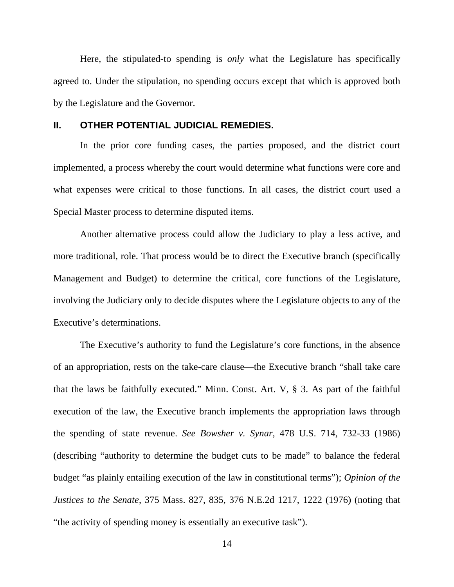Here, the stipulated-to spending is *only* what the Legislature has specifically agreed to. Under the stipulation, no spending occurs except that which is approved both by the Legislature and the Governor.

#### **II. OTHER POTENTIAL JUDICIAL REMEDIES.**

In the prior core funding cases, the parties proposed, and the district court implemented, a process whereby the court would determine what functions were core and what expenses were critical to those functions. In all cases, the district court used a Special Master process to determine disputed items.

Another alternative process could allow the Judiciary to play a less active, and more traditional, role. That process would be to direct the Executive branch (specifically Management and Budget) to determine the critical, core functions of the Legislature, involving the Judiciary only to decide disputes where the Legislature objects to any of the Executive's determinations.

<span id="page-20-2"></span><span id="page-20-1"></span><span id="page-20-0"></span>The Executive's authority to fund the Legislature's core functions, in the absence of an appropriation, rests on the take-care clause—the Executive branch "shall take care that the laws be faithfully executed." Minn. Const. Art. V, § 3. As part of the faithful execution of the law, the Executive branch implements the appropriation laws through the spending of state revenue. *See Bowsher v. Synar*, 478 U.S. 714, 732-33 (1986) (describing "authority to determine the budget cuts to be made" to balance the federal budget "as plainly entailing execution of the law in constitutional terms"); *Opinion of the Justices to the Senate*, 375 Mass. 827, 835, 376 N.E.2d 1217, 1222 (1976) (noting that "the activity of spending money is essentially an executive task").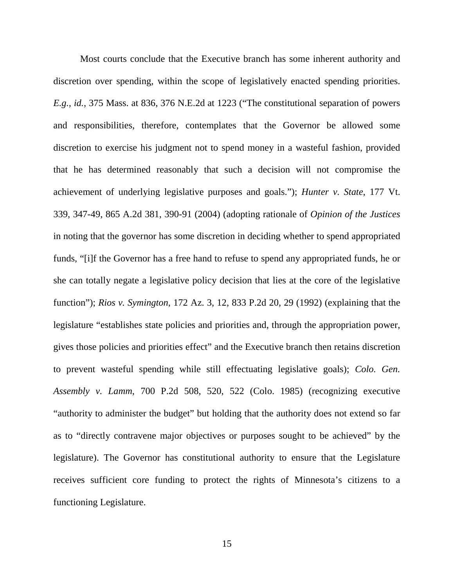<span id="page-21-3"></span><span id="page-21-2"></span><span id="page-21-1"></span><span id="page-21-0"></span>Most courts conclude that the Executive branch has some inherent authority and discretion over spending, within the scope of legislatively enacted spending priorities. *E.g., id.*, 375 Mass. at 836, 376 N.E.2d at 1223 ("The constitutional separation of powers and responsibilities, therefore, contemplates that the Governor be allowed some discretion to exercise his judgment not to spend money in a wasteful fashion, provided that he has determined reasonably that such a decision will not compromise the achievement of underlying legislative purposes and goals."); *Hunter v. State*, 177 Vt. 339, 347-49, 865 A.2d 381, 390-91 (2004) (adopting rationale of *Opinion of the Justices* in noting that the governor has some discretion in deciding whether to spend appropriated funds, "[i]f the Governor has a free hand to refuse to spend any appropriated funds, he or she can totally negate a legislative policy decision that lies at the core of the legislative function"); *Rios v. Symington*, 172 Az. 3, 12, 833 P.2d 20, 29 (1992) (explaining that the legislature "establishes state policies and priorities and, through the appropriation power, gives those policies and priorities effect" and the Executive branch then retains discretion to prevent wasteful spending while still effectuating legislative goals); *Colo. Gen. Assembly v. Lamm*, 700 P.2d 508, 520, 522 (Colo. 1985) (recognizing executive "authority to administer the budget" but holding that the authority does not extend so far as to "directly contravene major objectives or purposes sought to be achieved" by the legislature). The Governor has constitutional authority to ensure that the Legislature receives sufficient core funding to protect the rights of Minnesota's citizens to a functioning Legislature.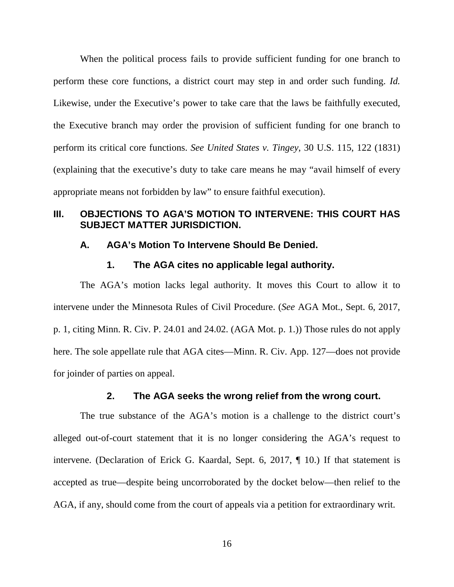<span id="page-22-0"></span>When the political process fails to provide sufficient funding for one branch to perform these core functions, a district court may step in and order such funding. *Id.*  Likewise, under the Executive's power to take care that the laws be faithfully executed, the Executive branch may order the provision of sufficient funding for one branch to perform its critical core functions. *See United States v. Tingey*, 30 U.S. 115, 122 (1831) (explaining that the executive's duty to take care means he may "avail himself of every appropriate means not forbidden by law" to ensure faithful execution).

# **III. OBJECTIONS TO AGA'S MOTION TO INTERVENE: THIS COURT HAS SUBJECT MATTER JURISDICTION.**

### **A. AGA's Motion To Intervene Should Be Denied.**

#### <span id="page-22-2"></span><span id="page-22-1"></span>**1. The AGA cites no applicable legal authority.**

The AGA's motion lacks legal authority. It moves this Court to allow it to intervene under the Minnesota Rules of Civil Procedure. (*See* AGA Mot., Sept. 6, 2017, p. 1, citing Minn. R. Civ. P. 24.01 and 24.02. (AGA Mot. p. 1.)) Those rules do not apply here. The sole appellate rule that AGA cites—Minn. R. Civ. App. 127—does not provide for joinder of parties on appeal.

### <span id="page-22-3"></span>**2. The AGA seeks the wrong relief from the wrong court.**

The true substance of the AGA's motion is a challenge to the district court's alleged out-of-court statement that it is no longer considering the AGA's request to intervene. (Declaration of Erick G. Kaardal, Sept. 6, 2017, ¶ 10.) If that statement is accepted as true—despite being uncorroborated by the docket below—then relief to the AGA, if any, should come from the court of appeals via a petition for extraordinary writ.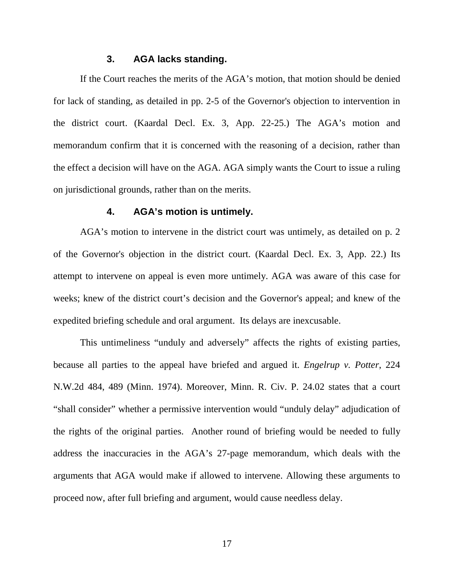### **3. AGA lacks standing.**

If the Court reaches the merits of the AGA's motion, that motion should be denied for lack of standing, as detailed in pp. 2-5 of the Governor's objection to intervention in the district court. (Kaardal Decl. Ex. 3, App. 22-25.) The AGA's motion and memorandum confirm that it is concerned with the reasoning of a decision, rather than the effect a decision will have on the AGA. AGA simply wants the Court to issue a ruling on jurisdictional grounds, rather than on the merits.

#### <span id="page-23-0"></span>**4. AGA's motion is untimely.**

AGA's motion to intervene in the district court was untimely, as detailed on p. 2 of the Governor's objection in the district court. (Kaardal Decl. Ex. 3, App. 22.) Its attempt to intervene on appeal is even more untimely. AGA was aware of this case for weeks; knew of the district court's decision and the Governor's appeal; and knew of the expedited briefing schedule and oral argument. Its delays are inexcusable.

<span id="page-23-1"></span>This untimeliness "unduly and adversely" affects the rights of existing parties, because all parties to the appeal have briefed and argued it. *Engelrup v. Potter*, 224 N.W.2d 484, 489 (Minn. 1974). Moreover, Minn. R. Civ. P. 24.02 states that a court "shall consider" whether a permissive intervention would "unduly delay" adjudication of the rights of the original parties. Another round of briefing would be needed to fully address the inaccuracies in the AGA's 27-page memorandum, which deals with the arguments that AGA would make if allowed to intervene. Allowing these arguments to proceed now, after full briefing and argument, would cause needless delay.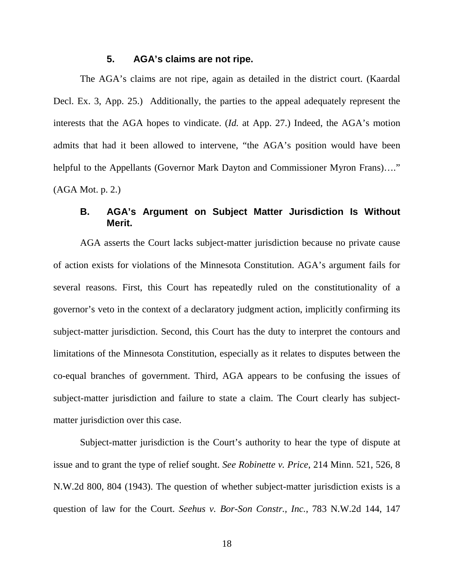### **5. AGA's claims are not ripe.**

The AGA's claims are not ripe, again as detailed in the district court. (Kaardal Decl. Ex. 3, App. 25.) Additionally, the parties to the appeal adequately represent the interests that the AGA hopes to vindicate. (*Id.* at App. 27.) Indeed, the AGA's motion admits that had it been allowed to intervene, "the AGA's position would have been helpful to the Appellants (Governor Mark Dayton and Commissioner Myron Frans)...." (AGA Mot. p. 2.)

### **B. AGA's Argument on Subject Matter Jurisdiction Is Without Merit.**

AGA asserts the Court lacks subject-matter jurisdiction because no private cause of action exists for violations of the Minnesota Constitution. AGA's argument fails for several reasons. First, this Court has repeatedly ruled on the constitutionality of a governor's veto in the context of a declaratory judgment action, implicitly confirming its subject-matter jurisdiction. Second, this Court has the duty to interpret the contours and limitations of the Minnesota Constitution, especially as it relates to disputes between the co-equal branches of government. Third, AGA appears to be confusing the issues of subject-matter jurisdiction and failure to state a claim. The Court clearly has subjectmatter jurisdiction over this case.

<span id="page-24-1"></span><span id="page-24-0"></span>Subject-matter jurisdiction is the Court's authority to hear the type of dispute at issue and to grant the type of relief sought. *See Robinette v. Price*, 214 Minn. 521, 526, 8 N.W.2d 800, 804 (1943). The question of whether subject-matter jurisdiction exists is a question of law for the Court. *Seehus v. Bor-Son Constr., Inc.*, 783 N.W.2d 144, 147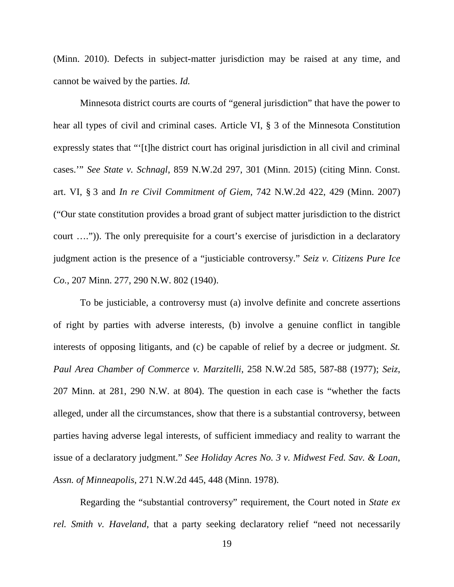<span id="page-25-2"></span>(Minn. 2010). Defects in subject-matter jurisdiction may be raised at any time, and cannot be waived by the parties. *Id.* 

<span id="page-25-7"></span><span id="page-25-6"></span><span id="page-25-0"></span>Minnesota district courts are courts of "general jurisdiction" that have the power to hear all types of civil and criminal cases. Article VI, § 3 of the Minnesota Constitution expressly states that "'[t]he district court has original jurisdiction in all civil and criminal cases.'" *See State v. Schnagl*, 859 N.W.2d 297, 301 (Minn. 2015) (citing Minn. Const. art. VI, § 3 and *In re Civil Commitment of Giem*, 742 N.W.2d 422, 429 (Minn. 2007) ("Our state constitution provides a broad grant of subject matter jurisdiction to the district court ….")). The only prerequisite for a court's exercise of jurisdiction in a declaratory judgment action is the presence of a "justiciable controversy." *Seiz v. Citizens Pure Ice Co.*, 207 Minn. 277, 290 N.W. 802 (1940).

<span id="page-25-5"></span><span id="page-25-3"></span>To be justiciable, a controversy must (a) involve definite and concrete assertions of right by parties with adverse interests, (b) involve a genuine conflict in tangible interests of opposing litigants, and (c) be capable of relief by a decree or judgment. *St. Paul Area Chamber of Commerce v. Marzitelli*, 258 N.W.2d 585, 587-88 (1977); *Seiz*, 207 Minn. at 281, 290 N.W. at 804). The question in each case is "whether the facts alleged, under all the circumstances, show that there is a substantial controversy, between parties having adverse legal interests, of sufficient immediacy and reality to warrant the issue of a declaratory judgment." *See Holiday Acres No. 3 v. Midwest Fed. Sav. & Loan*, *Assn. of Minneapolis,* 271 N.W.2d 445, 448 (Minn. 1978).

<span id="page-25-4"></span><span id="page-25-1"></span>Regarding the "substantial controversy" requirement, the Court noted in *State ex rel. Smith v. Haveland*, that a party seeking declaratory relief "need not necessarily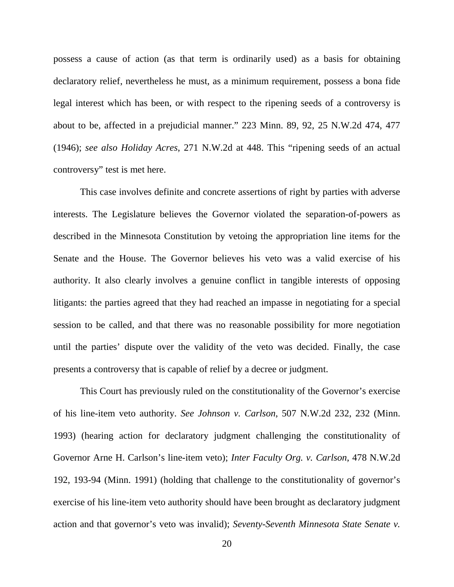<span id="page-26-4"></span>possess a cause of action (as that term is ordinarily used) as a basis for obtaining declaratory relief, nevertheless he must, as a minimum requirement, possess a bona fide legal interest which has been, or with respect to the ripening seeds of a controversy is about to be, affected in a prejudicial manner." 223 Minn. 89, 92, 25 N.W.2d 474, 477 (1946); *see also Holiday Acres*, 271 N.W.2d at 448. This "ripening seeds of an actual controversy" test is met here.

<span id="page-26-0"></span>This case involves definite and concrete assertions of right by parties with adverse interests. The Legislature believes the Governor violated the separation-of-powers as described in the Minnesota Constitution by vetoing the appropriation line items for the Senate and the House. The Governor believes his veto was a valid exercise of his authority. It also clearly involves a genuine conflict in tangible interests of opposing litigants: the parties agreed that they had reached an impasse in negotiating for a special session to be called, and that there was no reasonable possibility for more negotiation until the parties' dispute over the validity of the veto was decided. Finally, the case presents a controversy that is capable of relief by a decree or judgment.

<span id="page-26-3"></span><span id="page-26-2"></span><span id="page-26-1"></span>This Court has previously ruled on the constitutionality of the Governor's exercise of his line-item veto authority. *See Johnson v. Carlson*, 507 N.W.2d 232, 232 (Minn. 1993) (hearing action for declaratory judgment challenging the constitutionality of Governor Arne H. Carlson's line-item veto); *Inter Faculty Org. v. Carlson*, 478 N.W.2d 192, 193-94 (Minn. 1991) (holding that challenge to the constitutionality of governor's exercise of his line-item veto authority should have been brought as declaratory judgment action and that governor's veto was invalid); *Seventy-Seventh Minnesota State Senate v.*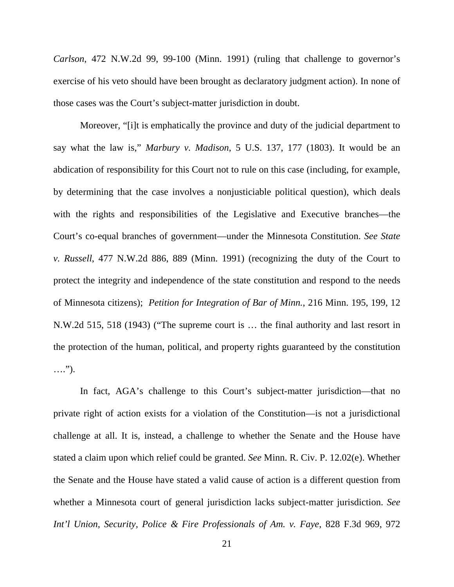*Carlson*, 472 N.W.2d 99, 99-100 (Minn. 1991) (ruling that challenge to governor's exercise of his veto should have been brought as declaratory judgment action). In none of those cases was the Court's subject-matter jurisdiction in doubt.

<span id="page-27-3"></span><span id="page-27-1"></span>Moreover, "[i]t is emphatically the province and duty of the judicial department to say what the law is," *Marbury v. Madison*, 5 U.S. 137, 177 (1803). It would be an abdication of responsibility for this Court not to rule on this case (including, for example, by determining that the case involves a nonjusticiable political question), which deals with the rights and responsibilities of the Legislative and Executive branches—the Court's co-equal branches of government—under the Minnesota Constitution. *See State v. Russell*, 477 N.W.2d 886, 889 (Minn. 1991) (recognizing the duty of the Court to protect the integrity and independence of the state constitution and respond to the needs of Minnesota citizens); *Petition for Integration of Bar of Minn.*, 216 Minn. 195, 199, 12 N.W.2d 515, 518 (1943) ("The supreme court is … the final authority and last resort in the protection of the human, political, and property rights guaranteed by the constitution ….").

<span id="page-27-4"></span><span id="page-27-2"></span><span id="page-27-0"></span>In fact, AGA's challenge to this Court's subject-matter jurisdiction—that no private right of action exists for a violation of the Constitution—is not a jurisdictional challenge at all. It is, instead, a challenge to whether the Senate and the House have stated a claim upon which relief could be granted. *See* Minn. R. Civ. P. 12.02(e). Whether the Senate and the House have stated a valid cause of action is a different question from whether a Minnesota court of general jurisdiction lacks subject-matter jurisdiction. *See Int'l Union, Security, Police & Fire Professionals of Am. v. Faye*, 828 F.3d 969, 972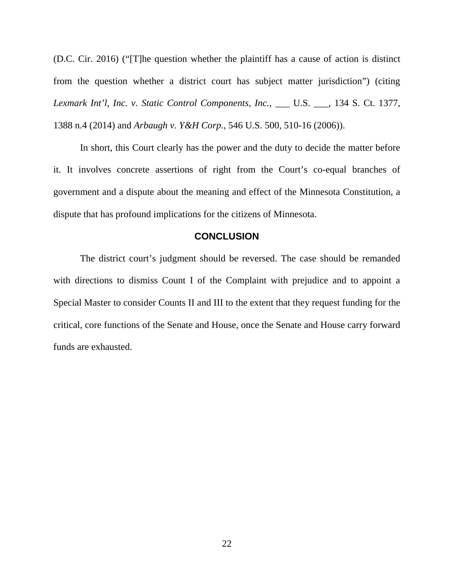<span id="page-28-1"></span>(D.C. Cir. 2016) ("[T]he question whether the plaintiff has a cause of action is distinct from the question whether a district court has subject matter jurisdiction") (citing *Lexmark Int'l, Inc. v. Static Control Components, Inc.*, \_\_\_ U.S. \_\_\_, 134 S. Ct. 1377, 1388 n.4 (2014) and *Arbaugh v. Y&H Corp.*, 546 U.S. 500, 510-16 (2006)).

<span id="page-28-0"></span>In short, this Court clearly has the power and the duty to decide the matter before it. It involves concrete assertions of right from the Court's co-equal branches of government and a dispute about the meaning and effect of the Minnesota Constitution, a dispute that has profound implications for the citizens of Minnesota.

#### **CONCLUSION**

The district court's judgment should be reversed. The case should be remanded with directions to dismiss Count I of the Complaint with prejudice and to appoint a Special Master to consider Counts II and III to the extent that they request funding for the critical, core functions of the Senate and House, once the Senate and House carry forward funds are exhausted.